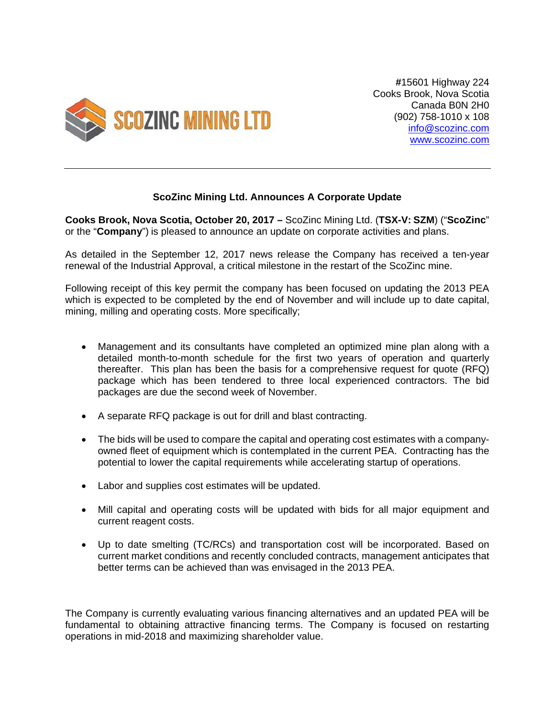

**#**15601 Highway 224 Cooks Brook, Nova Scotia Canada B0N 2H0 (902) 758-1010 x 108 info@scozinc.com www.scozinc.com

## **ScoZinc Mining Ltd. Announces A Corporate Update**

**Cooks Brook, Nova Scotia, October 20, 2017 –** ScoZinc Mining Ltd. (**TSX-V: SZM**) ("**ScoZinc**" or the "**Company**") is pleased to announce an update on corporate activities and plans.

As detailed in the September 12, 2017 news release the Company has received a ten-year renewal of the Industrial Approval, a critical milestone in the restart of the ScoZinc mine.

Following receipt of this key permit the company has been focused on updating the 2013 PEA which is expected to be completed by the end of November and will include up to date capital, mining, milling and operating costs. More specifically;

- Management and its consultants have completed an optimized mine plan along with a detailed month-to-month schedule for the first two years of operation and quarterly thereafter. This plan has been the basis for a comprehensive request for quote (RFQ) package which has been tendered to three local experienced contractors. The bid packages are due the second week of November.
- A separate RFQ package is out for drill and blast contracting.
- The bids will be used to compare the capital and operating cost estimates with a companyowned fleet of equipment which is contemplated in the current PEA. Contracting has the potential to lower the capital requirements while accelerating startup of operations.
- Labor and supplies cost estimates will be updated.
- Mill capital and operating costs will be updated with bids for all major equipment and current reagent costs.
- Up to date smelting (TC/RCs) and transportation cost will be incorporated. Based on current market conditions and recently concluded contracts, management anticipates that better terms can be achieved than was envisaged in the 2013 PEA.

The Company is currently evaluating various financing alternatives and an updated PEA will be fundamental to obtaining attractive financing terms. The Company is focused on restarting operations in mid-2018 and maximizing shareholder value.